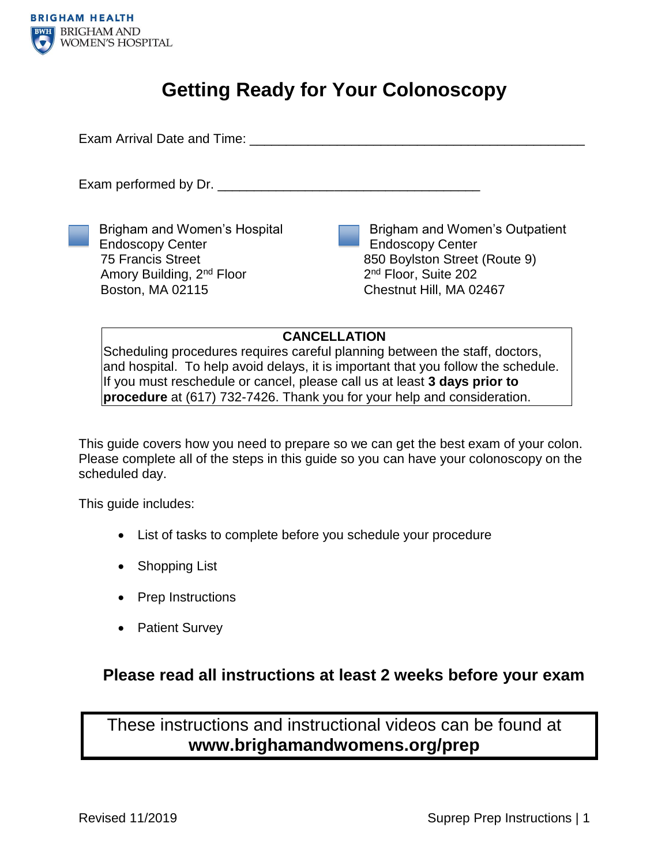

# **Getting Ready for Your Colonoscopy**

Exam Arrival Date and Time: **Example 19** Figures 1

Exam performed by Dr.

Brigham and Women's Hospital Endoscopy Center 75 Francis Street Amory Building, 2nd Floor Boston, MA 02115

Brigham and Women's Outpatient Endoscopy Center 850 Boylston Street (Route 9) 2<sup>nd</sup> Floor, Suite 202 Chestnut Hill, MA 02467

### **CANCELLATION**

Scheduling procedures requires careful planning between the staff, doctors, and hospital. To help avoid delays, it is important that you follow the schedule. If you must reschedule or cancel, please call us at least **3 days prior to procedure** at (617) 732-7426. Thank you for your help and consideration.

This guide covers how you need to prepare so we can get the best exam of your colon. Please complete all of the steps in this guide so you can have your colonoscopy on the scheduled day.

This guide includes:

- List of tasks to complete before you schedule your procedure
- Shopping List
- Prep Instructions
- Patient Survey

### **Please read all instructions at least 2 weeks before your exam**

These instructions and instructional videos can be found at **www.brighamandwomens.org/prep**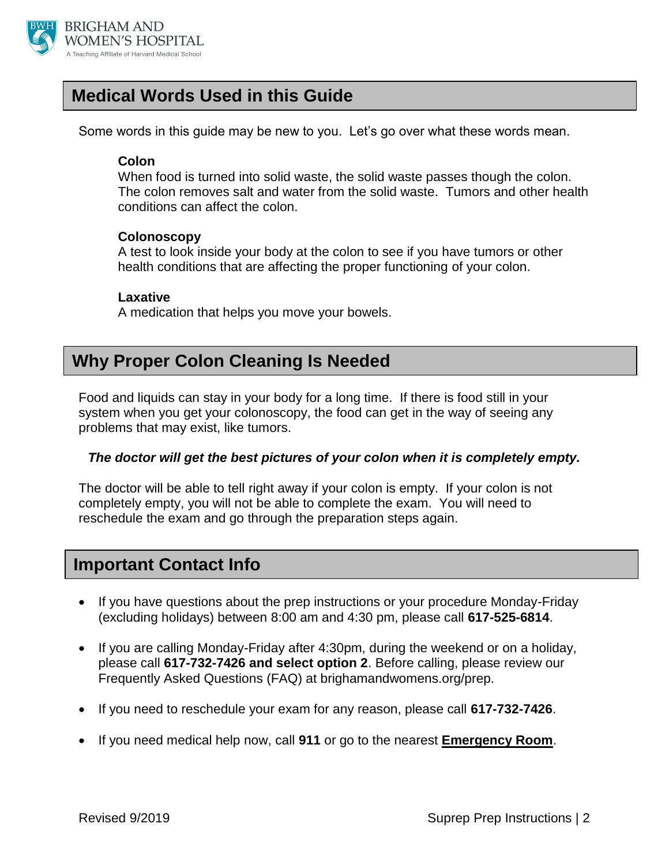

## **Medical Words Used in this Guide**

Some words in this guide may be new to you. Let's go over what these words mean.

### **Colon**

When food is turned into solid waste, the solid waste passes though the colon. The colon removes salt and water from the solid waste. Tumors and other health conditions can affect the colon.

### **Colonoscopy**

A test to look inside your body at the colon to see if you have tumors or other health conditions that are affecting the proper functioning of your colon.

### **Laxative**

A medication that helps you move your bowels.

## **Why Proper Colon Cleaning Is Needed**

Food and liquids can stay in your body for a long time. If there is food still in your system when you get your colonoscopy, the food can get in the way of seeing any problems that may exist, like tumors.

### *The doctor will get the best pictures of your colon when it is completely empty.*

The doctor will be able to tell right away if your colon is empty. If your colon is not completely empty, you will not be able to complete the exam. You will need to reschedule the exam and go through the preparation steps again.

### **Important Contact Info**

- If you have questions about the prep instructions or your procedure Monday-Friday (excluding holidays) between 8:00 am and 4:30 pm, please call **617-525-6814**.
- If you are calling Monday-Friday after 4:30pm, during the weekend or on a holiday, please call **617-732-7426 and select option 2**. Before calling, please review our Frequently Asked Questions (FAQ) at brighamandwomens.org/prep.
- If you need to reschedule your exam for any reason, please call **617-732-7426**.
- If you need medical help now, call **911** or go to the nearest **Emergency Room**.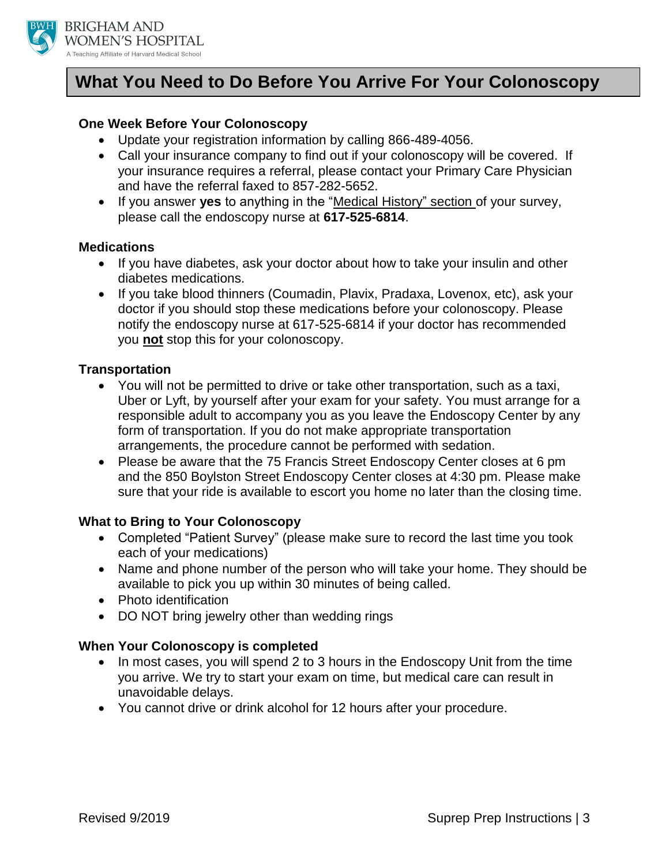

## **What You Need to Do Before You Arrive For Your Colonoscopy**

### **One Week Before Your Colonoscopy**

- Update your registration information by calling 866-489-4056.
- Call your insurance company to find out if your colonoscopy will be covered. If your insurance requires a referral, please contact your Primary Care Physician and have the referral faxed to 857-282-5652.
- If you answer **yes** to anything in the "Medical History" section of your survey, please call the endoscopy nurse at **617-525-6814**.

### **Medications**

- If you have diabetes, ask your doctor about how to take your insulin and other diabetes medications.
- If you take blood thinners (Coumadin, Plavix, Pradaxa, Lovenox, etc), ask your doctor if you should stop these medications before your colonoscopy. Please notify the endoscopy nurse at 617-525-6814 if your doctor has recommended you **not** stop this for your colonoscopy.

### **Transportation**

- You will not be permitted to drive or take other transportation, such as a taxi, Uber or Lyft, by yourself after your exam for your safety. You must arrange for a responsible adult to accompany you as you leave the Endoscopy Center by any form of transportation. If you do not make appropriate transportation arrangements, the procedure cannot be performed with sedation.
- Please be aware that the 75 Francis Street Endoscopy Center closes at 6 pm and the 850 Boylston Street Endoscopy Center closes at 4:30 pm. Please make sure that your ride is available to escort you home no later than the closing time.

### **What to Bring to Your Colonoscopy**

- Completed "Patient Survey" (please make sure to record the last time you took each of your medications)
- Name and phone number of the person who will take your home. They should be available to pick you up within 30 minutes of being called.
- Photo identification
- DO NOT bring jewelry other than wedding rings

### **When Your Colonoscopy is completed**

- In most cases, you will spend 2 to 3 hours in the Endoscopy Unit from the time you arrive. We try to start your exam on time, but medical care can result in unavoidable delays.
- You cannot drive or drink alcohol for 12 hours after your procedure.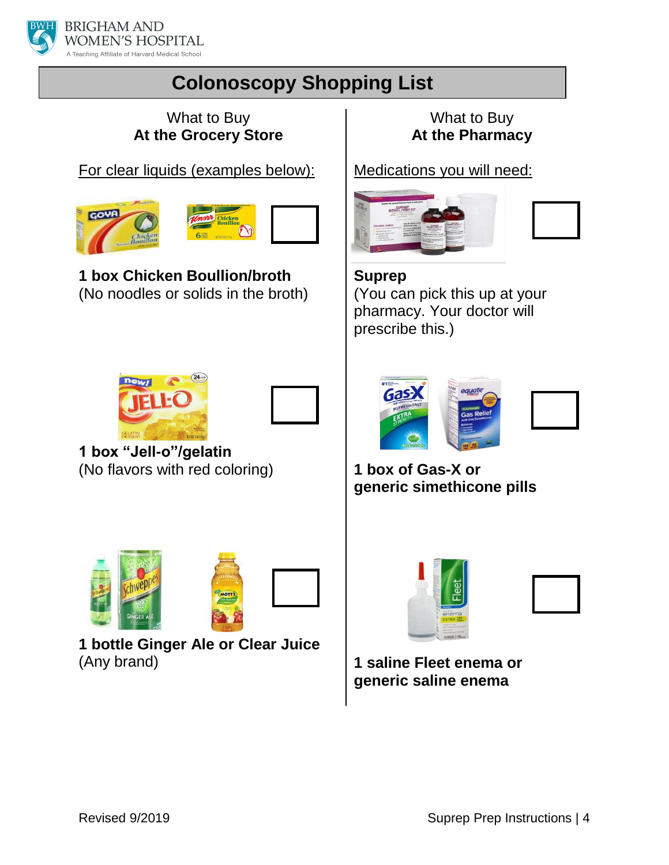

# **Colonoscopy Shopping List**

### What to Buy **At the Grocery Store**

For clear liquids (examples below):





**1 box Chicken Boullion/broth** (No noodles or solids in the broth)

## What to Buy **At the Pharmacy**

Medications you will need:



**Suprep** (You can pick this up at your pharmacy. Your doctor will prescribe this.)





**1 box "Jell-o"/gelatin** (No flavors with red coloring)



**1 bottle Ginger Ale or Clear Juice**  (Any brand)



**1 box of Gas-X or generic simethicone pills**





**1 saline Fleet enema or generic saline enema**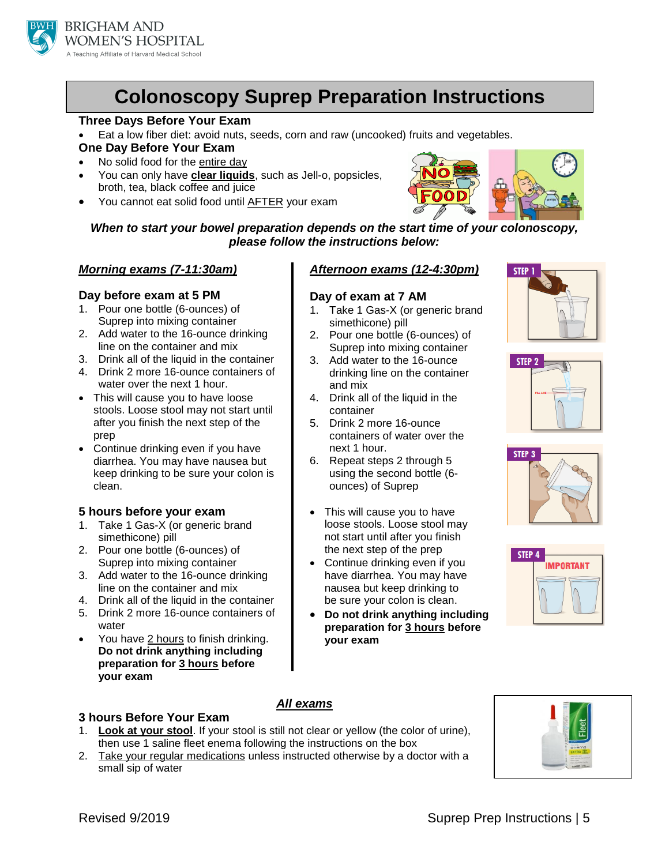

# **Colonoscopy Suprep Preparation Instructions**

#### **Three Days Before Your Exam**

- Eat a low fiber diet: avoid nuts, seeds, corn and raw (uncooked) fruits and vegetables. **One Day Before Your Exam**
- No solid food for the entire day
- You can only have **clear liquids**, such as Jell-o, popsicles, broth, tea, black coffee and juice
- You cannot eat solid food until AFTER your exam



*When to start your bowel preparation depends on the start time of your colonoscopy, please follow the instructions below:*

#### *Morning exams (7-11:30am)*

#### **Day before exam at 5 PM**

- 1. Pour one bottle (6-ounces) of Suprep into mixing container
- 2. Add water to the 16-ounce drinking line on the container and mix
- 3. Drink all of the liquid in the container
- 4. Drink 2 more 16-ounce containers of water over the next 1 hour.
- This will cause you to have loose stools. Loose stool may not start until after you finish the next step of the prep
- Continue drinking even if you have diarrhea. You may have nausea but keep drinking to be sure your colon is clean.

### **5 hours before your exam**

- 1. Take 1 Gas-X (or generic brand simethicone) pill
- 2. Pour one bottle (6-ounces) of Suprep into mixing container
- 3. Add water to the 16-ounce drinking line on the container and mix
- 4. Drink all of the liquid in the container
- 5. Drink 2 more 16-ounce containers of water
- You have 2 hours to finish drinking. **Do not drink anything including preparation for 3 hours before your exam**

### *Afternoon exams (12-4:30pm)*

### **Day of exam at 7 AM**

- 1. Take 1 Gas-X (or generic brand simethicone) pill
- 2. Pour one bottle (6-ounces) of Suprep into mixing container
- 3. Add water to the 16-ounce drinking line on the container and mix
- 4. Drink all of the liquid in the container
- 5. Drink 2 more 16-ounce containers of water over the next 1 hour.
- 6. Repeat steps 2 through 5 using the second bottle (6 ounces) of Suprep
- This will cause you to have loose stools. Loose stool may not start until after you finish the next step of the prep
- Continue drinking even if you have diarrhea. You may have nausea but keep drinking to be sure your colon is clean.
- **Do not drink anything including preparation for 3 hours before your exam**









### **3 hours Before Your Exam**

#### *All exams*

- 1. **Look at your stool**. If your stool is still not clear or yellow (the color of urine), then use 1 saline fleet enema following the instructions on the box
- 2. Take your regular medications unless instructed otherwise by a doctor with a small sip of water

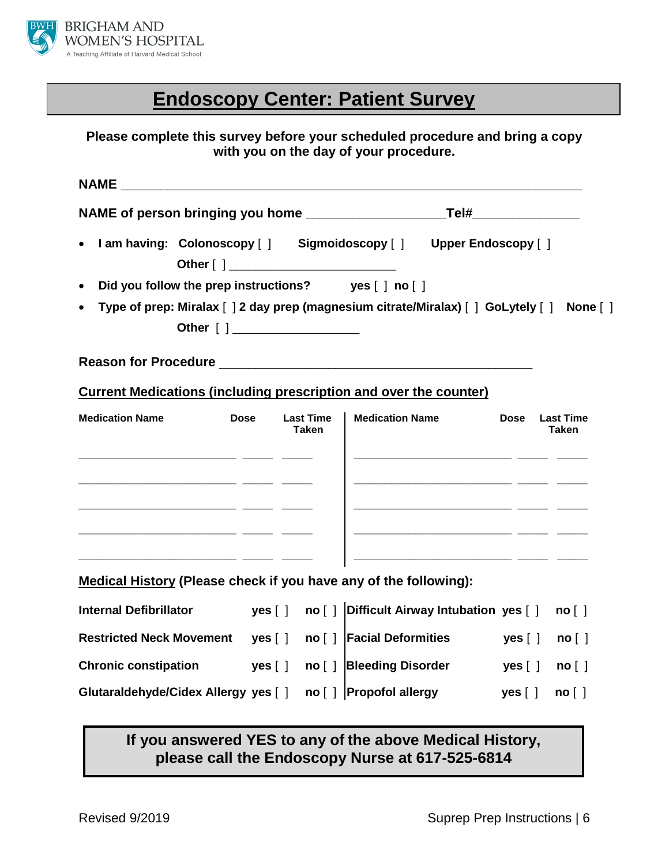

# **Endoscopy Center: Patient Survey**

### **Please complete this survey before your scheduled procedure and bring a copy with you on the day of your procedure.**

| I am having: Colonoscopy [ ] Sigmoidoscopy [ ] Upper Endoscopy [ ]<br>Did you follow the prep instructions? yes [ ] no [ ]<br>Type of prep: Miralax [ ] 2 day prep (magnesium citrate/Miralax) [ ] GoLytely [ ] None [ ]<br>Other [ ] ____________________<br><b>Current Medications (including prescription and over the counter)</b><br><b>Dose</b><br><b>Last Time</b><br><b>Medication Name</b><br><b>Dose</b><br><b>Last Time</b><br><b>Taken</b><br><b>Taken</b><br><u> 2000 - Andrea Aonaich ann an t-Ann an t-Ann an t-Ann an t-Ann an t-Ann an t-Ann an t-Ann an t-Ann an t-Ann an </u><br><u> 2000 - Andrea Andrew Maria (h. 1982).</u><br>1900 - Andrew Maria (h. 1982).<br>and the company of the company of the company of the company of the company of the company of the company of t<br><b>Medical History (Please check if you have any of the following):</b><br>yes [ ] no [ ] Difficult Airway Intubation yes [ ]<br>no [ ]<br>no [ ]   Facial Deformities<br>yes[]<br>yes [ ]<br>no [ ]<br>no [ ] Bleeding Disorder<br><b>yes</b> [ ]<br>yes [ ]<br>no [ ]<br>Glutaraldehyde/Cidex Allergy yes [ ]<br>no [ ] Propofol allergy<br>yes [ ]<br>no [ ] | <b>NAME</b>                     |  |  |  |  |  |
|--------------------------------------------------------------------------------------------------------------------------------------------------------------------------------------------------------------------------------------------------------------------------------------------------------------------------------------------------------------------------------------------------------------------------------------------------------------------------------------------------------------------------------------------------------------------------------------------------------------------------------------------------------------------------------------------------------------------------------------------------------------------------------------------------------------------------------------------------------------------------------------------------------------------------------------------------------------------------------------------------------------------------------------------------------------------------------------------------------------------------------------------------------------------------|---------------------------------|--|--|--|--|--|
|                                                                                                                                                                                                                                                                                                                                                                                                                                                                                                                                                                                                                                                                                                                                                                                                                                                                                                                                                                                                                                                                                                                                                                          |                                 |  |  |  |  |  |
|                                                                                                                                                                                                                                                                                                                                                                                                                                                                                                                                                                                                                                                                                                                                                                                                                                                                                                                                                                                                                                                                                                                                                                          | $\bullet$                       |  |  |  |  |  |
|                                                                                                                                                                                                                                                                                                                                                                                                                                                                                                                                                                                                                                                                                                                                                                                                                                                                                                                                                                                                                                                                                                                                                                          | $\bullet$                       |  |  |  |  |  |
|                                                                                                                                                                                                                                                                                                                                                                                                                                                                                                                                                                                                                                                                                                                                                                                                                                                                                                                                                                                                                                                                                                                                                                          | $\bullet$                       |  |  |  |  |  |
|                                                                                                                                                                                                                                                                                                                                                                                                                                                                                                                                                                                                                                                                                                                                                                                                                                                                                                                                                                                                                                                                                                                                                                          |                                 |  |  |  |  |  |
|                                                                                                                                                                                                                                                                                                                                                                                                                                                                                                                                                                                                                                                                                                                                                                                                                                                                                                                                                                                                                                                                                                                                                                          |                                 |  |  |  |  |  |
|                                                                                                                                                                                                                                                                                                                                                                                                                                                                                                                                                                                                                                                                                                                                                                                                                                                                                                                                                                                                                                                                                                                                                                          | <b>Medication Name</b>          |  |  |  |  |  |
|                                                                                                                                                                                                                                                                                                                                                                                                                                                                                                                                                                                                                                                                                                                                                                                                                                                                                                                                                                                                                                                                                                                                                                          |                                 |  |  |  |  |  |
|                                                                                                                                                                                                                                                                                                                                                                                                                                                                                                                                                                                                                                                                                                                                                                                                                                                                                                                                                                                                                                                                                                                                                                          |                                 |  |  |  |  |  |
|                                                                                                                                                                                                                                                                                                                                                                                                                                                                                                                                                                                                                                                                                                                                                                                                                                                                                                                                                                                                                                                                                                                                                                          |                                 |  |  |  |  |  |
|                                                                                                                                                                                                                                                                                                                                                                                                                                                                                                                                                                                                                                                                                                                                                                                                                                                                                                                                                                                                                                                                                                                                                                          | <b>Internal Defibrillator</b>   |  |  |  |  |  |
|                                                                                                                                                                                                                                                                                                                                                                                                                                                                                                                                                                                                                                                                                                                                                                                                                                                                                                                                                                                                                                                                                                                                                                          | <b>Restricted Neck Movement</b> |  |  |  |  |  |
|                                                                                                                                                                                                                                                                                                                                                                                                                                                                                                                                                                                                                                                                                                                                                                                                                                                                                                                                                                                                                                                                                                                                                                          | <b>Chronic constipation</b>     |  |  |  |  |  |
|                                                                                                                                                                                                                                                                                                                                                                                                                                                                                                                                                                                                                                                                                                                                                                                                                                                                                                                                                                                                                                                                                                                                                                          |                                 |  |  |  |  |  |

### **If you answered YES to any of the above Medical History, please call the Endoscopy Nurse at 617-525-6814**